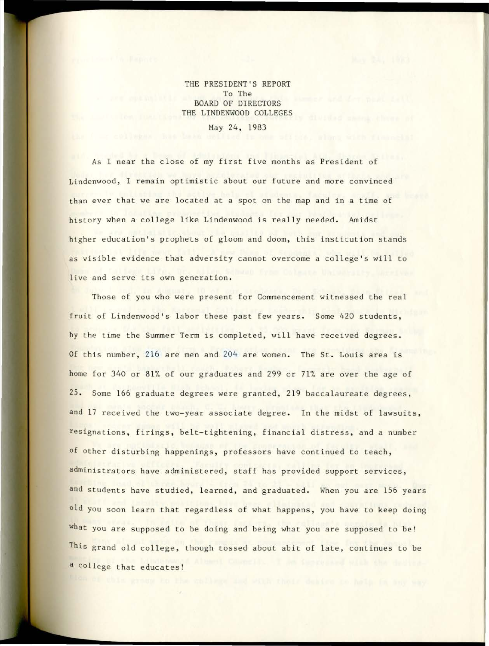THE PRESIDENT'S REPORT To The BOARD OF DIRECTORS THE LINDENWOOD COLLEGES

May 24, 1983

As I near the close of my first five months as President of Lindenwood, I remain optimistic about our future and more convinced than ever that we are located at a spot on the map and in a time of history when a college like Lindenwood is really needed. Amidst higher education's prophets of gloom and doom, this institution stands as visible evidence that adversity cannot overcome a college's will to live and serve its own generation.

Those of you who were present for Commencement witnessed the real fruit of Lindenwood's labor these past few years. Some 420 students, by the time the Summer Term is completed, will have received degrees . Of this number, 216 are men and 204 are women. The St. Louis area is home for 340 or 81% of our graduates and 299 or 71% are over the age of 25. Some 166 graduate degrees were granted, 219 baccalaureate degrees, and 17 received the two-year associate degree. In the midst of lawsuits, resignations, firings, belt-tightening, financial distress, and a number of other disturbing happenings, professors have continued to teach, administrators have administered, staff has provided support services, and students have studied, learned, and graduated. When you are 156 years old you soon learn that regardless of what happens, you have to keep doing what you are supposed to be doing and being what you are supposed to be! This grand old college, though tossed about abit of late, continues to be a college that educates!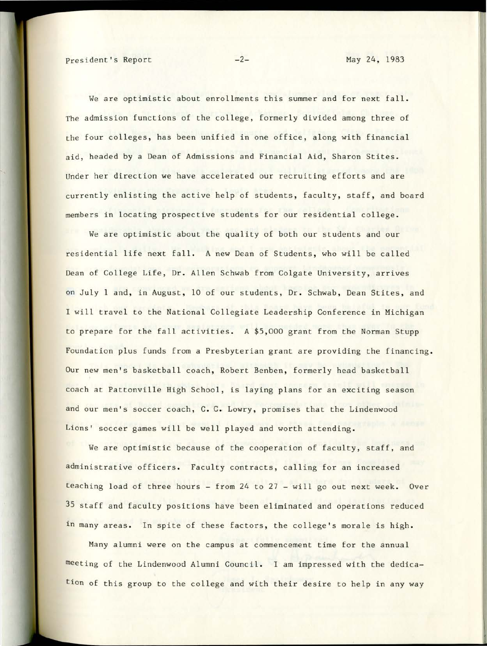We are optimistic about enrollments this summer and for next fall. The admission functions of the college, formerly divided among three of the four colleges, has been unified in one office, along with financial aid, headed by a Dean of Admissions and Financial Aid, Sharon Stites. Under her direction we have accelerated our recruiting efforts and are currently enlisting the active help of students, faculty, staff, and board members in locating prospective students for our residential college.

We are optimistic about the quality of both our students and our residential life next fall. A new Dean of Students, who will be called Dean of College Life, Dr. Allen Schwab from Colgate University, arrives on July 1 and, in August, 10 of our students, Dr. Schwab, Dean Stites, and I will travel to the National Collegiate Leadership Conference in Michigan to prepare for the fall activities. A \$5,000 grant from the Norman Stupp Foundation plus funds from a Presbyterian grant are providing the financing . Our new men's basketball coach, Robert Benben, formerly head basketball coach at Pattonville High School, is laying plans for an exciting season and our men's soccer coach, C. C. Lowry, promises that the Lindenwood Lions' soccer games will be well played and worth attending.

We are optimistic because of the cooperation of faculty, staff, and administrative officers. Faculty contracts, calling for an increased teaching load of three hours - from  $24$  to  $27$  - will go out next week. Over 35 staff and faculty positions have been eliminated and operations reduced in many areas. In spite of these factors, the college's morale is high.

Many alumni were on the campus at commencement time for the annual meeting of the Lindenwood Alumni Council. I am impressed with the dedication of this group to the college and with their desire to help in any way